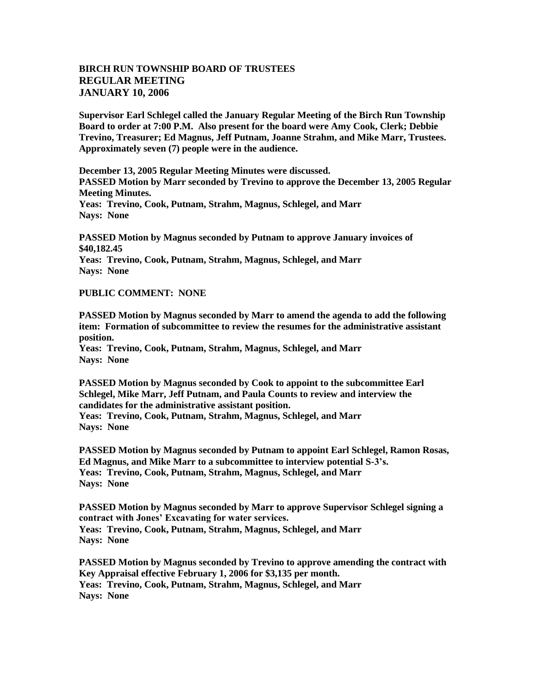## **BIRCH RUN TOWNSHIP BOARD OF TRUSTEES REGULAR MEETING JANUARY 10, 2006**

**Supervisor Earl Schlegel called the January Regular Meeting of the Birch Run Township Board to order at 7:00 P.M. Also present for the board were Amy Cook, Clerk; Debbie Trevino, Treasurer; Ed Magnus, Jeff Putnam, Joanne Strahm, and Mike Marr, Trustees. Approximately seven (7) people were in the audience.** 

**December 13, 2005 Regular Meeting Minutes were discussed.**

**PASSED Motion by Marr seconded by Trevino to approve the December 13, 2005 Regular Meeting Minutes.**

**Yeas: Trevino, Cook, Putnam, Strahm, Magnus, Schlegel, and Marr Nays: None** 

**PASSED Motion by Magnus seconded by Putnam to approve January invoices of \$40,182.45 Yeas: Trevino, Cook, Putnam, Strahm, Magnus, Schlegel, and Marr Nays: None** 

## **PUBLIC COMMENT: NONE**

**PASSED Motion by Magnus seconded by Marr to amend the agenda to add the following item: Formation of subcommittee to review the resumes for the administrative assistant position.**

**Yeas: Trevino, Cook, Putnam, Strahm, Magnus, Schlegel, and Marr Nays: None** 

**PASSED Motion by Magnus seconded by Cook to appoint to the subcommittee Earl Schlegel, Mike Marr, Jeff Putnam, and Paula Counts to review and interview the candidates for the administrative assistant position. Yeas: Trevino, Cook, Putnam, Strahm, Magnus, Schlegel, and Marr Nays: None** 

**PASSED Motion by Magnus seconded by Putnam to appoint Earl Schlegel, Ramon Rosas, Ed Magnus, and Mike Marr to a subcommittee to interview potential S-3's. Yeas: Trevino, Cook, Putnam, Strahm, Magnus, Schlegel, and Marr Nays: None** 

**PASSED Motion by Magnus seconded by Marr to approve Supervisor Schlegel signing a contract with Jones' Excavating for water services. Yeas: Trevino, Cook, Putnam, Strahm, Magnus, Schlegel, and Marr Nays: None** 

**PASSED Motion by Magnus seconded by Trevino to approve amending the contract with Key Appraisal effective February 1, 2006 for \$3,135 per month. Yeas: Trevino, Cook, Putnam, Strahm, Magnus, Schlegel, and Marr Nays: None**